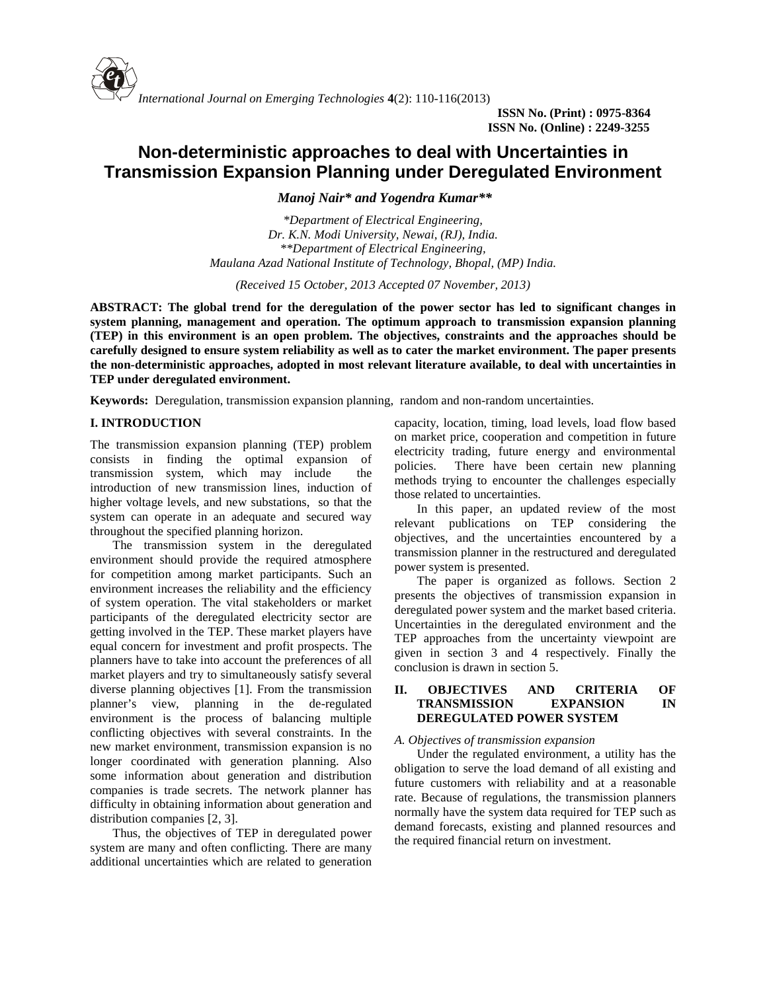

**ISSN No. (Print) : 0975-8364 ISSN No. (Online) : 2249-3255**

# **Non-deterministic approaches to deal with Uncertainties in Transmission Expansion Planning under Deregulated Environment**

*Manoj Nair\* and Yogendra Kumar\*\**

*\*Department of Electrical Engineering, Dr. K.N. Modi University, Newai, (RJ), India. \*\*Department of Electrical Engineering, Maulana Azad National Institute of Technology, Bhopal, (MP) India.*

*(Received 15 October, 2013 Accepted 07 November, 2013)*

**ABSTRACT: The global trend for the deregulation of the power sector has led to significant changes in system planning, management and operation. The optimum approach to transmission expansion planning (TEP) in this environment is an open problem. The objectives, constraints and the approaches should be carefully designed to ensure system reliability as well as to cater the market environment. The paper presents the non-deterministic approaches, adopted in most relevant literature available, to deal with uncertainties in TEP under deregulated environment.**

**Keywords:** Deregulation, transmission expansion planning, random and non-random uncertainties.

## **I. INTRODUCTION**

The transmission expansion planning (TEP) problem consists in finding the optimal expansion of policies. transmission system, which may include the introduction of new transmission lines, induction of higher voltage levels, and new substations, so that the system can operate in an adequate and secured way throughout the specified planning horizon.

The transmission system in the deregulated environment should provide the required atmosphere for competition among market participants. Such an environment increases the reliability and the efficiency of system operation. The vital stakeholders or market participants of the deregulated electricity sector are getting involved in the TEP. These market players have equal concern for investment and profit prospects. The planners have to take into account the preferences of all market players and try to simultaneously satisfy several diverse planning objectives [1]. From the transmission II. planner's view, planning in the de-regulated environment is the process of balancing multiple conflicting objectives with several constraints. In the new market environment, transmission expansion is no longer coordinated with generation planning. Also some information about generation and distribution companies is trade secrets. The network planner has difficulty in obtaining information about generation and distribution companies [2, 3].

Thus, the objectives of TEP in deregulated power system are many and often conflicting. There are many additional uncertainties which are related to generation capacity, location, timing, load levels, load flow based on market price, cooperation and competition in future electricity trading, future energy and environmental There have been certain new planning methods trying to encounter the challenges especially those related to uncertainties.

In this paper, an updated review of the most relevant publications on TEP considering the objectives, and the uncertainties encountered by a transmission planner in the restructured and deregulated power system is presented.

The paper is organized as follows. Section 2 presents the objectives of transmission expansion in deregulated power system and the market based criteria. Uncertainties in the deregulated environment and the TEP approaches from the uncertainty viewpoint are given in section 3 and 4 respectively. Finally the conclusion is drawn in section 5.

## **II. OBJECTIVES AND CRITERIA OF TRANSMISSION EXPANSION IN DEREGULATED POWER SYSTEM**

#### *A. Objectives of transmission expansion*

Under the regulated environment, a utility has the obligation to serve the load demand of all existing and future customers with reliability and at a reasonable rate. Because of regulations, the transmission planners normally have the system data required for TEP such as demand forecasts, existing and planned resources and the required financial return on investment.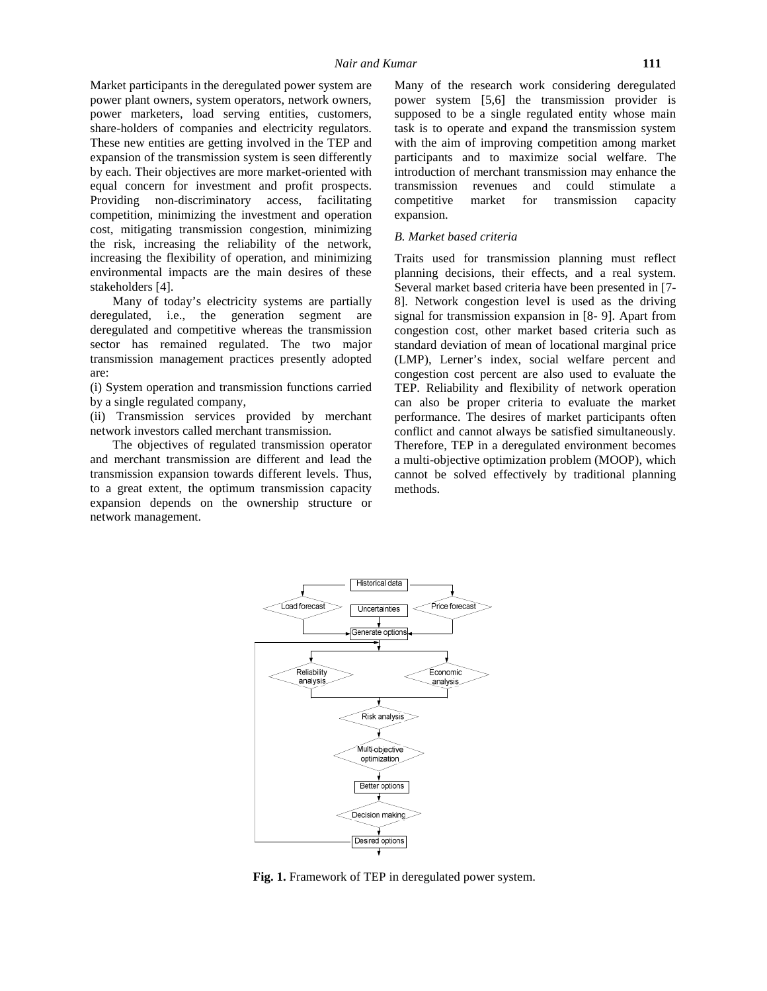Market participants in the deregulated power system are power plant owners, system operators, network owners, power marketers, load serving entities, customers, share-holders of companies and electricity regulators. These new entities are getting involved in the TEP and expansion of the transmission system is seen differently by each. Their objectives are more market-oriented with equal concern for investment and profit prospects. Providing non-discriminatory access, facilitating competitive competition, minimizing the investment and operation cost, mitigating transmission congestion, minimizing the risk, increasing the reliability of the network, increasing the flexibility of operation, and minimizing environmental impacts are the main desires of these stakeholders [4].

Many of today's electricity systems are partially deregulated, i.e., the generation segment are deregulated and competitive whereas the transmission sector has remained regulated. The two major transmission management practices presently adopted are:

(i) System operation and transmission functions carried by a single regulated company,

(ii) Transmission services provided by merchant network investors called merchant transmission.

The objectives of regulated transmission operator and merchant transmission are different and lead the transmission expansion towards different levels. Thus, to a great extent, the optimum transmission capacity expansion depends on the ownership structure or network management.

Many of the research work considering deregulated power system [5,6] the transmission provider is supposed to be a single regulated entity whose main task is to operate and expand the transmission system with the aim of improving competition among market participants and to maximize social welfare. The introduction of merchant transmission may enhance the transmission revenues and could stimulate a market for transmission capacity expansion.

#### *B. Market based criteria*

Traits used for transmission planning must reflect planning decisions, their effects, and a real system. Several market based criteria have been presented in [7- 8]. Network congestion level is used as the driving signal for transmission expansion in [8- 9]. Apart from congestion cost, other market based criteria such as standard deviation of mean of locational marginal price (LMP), Lerner's index, social welfare percent and congestion cost percent are also used to evaluate the TEP. Reliability and flexibility of network operation can also be proper criteria to evaluate the market performance. The desires of market participants often conflict and cannot always be satisfied simultaneously. Therefore, TEP in a deregulated environment becomes a multi-objective optimization problem (MOOP), which cannot be solved effectively by traditional planning methods.



**Fig. 1.** Framework of TEP in deregulated power system.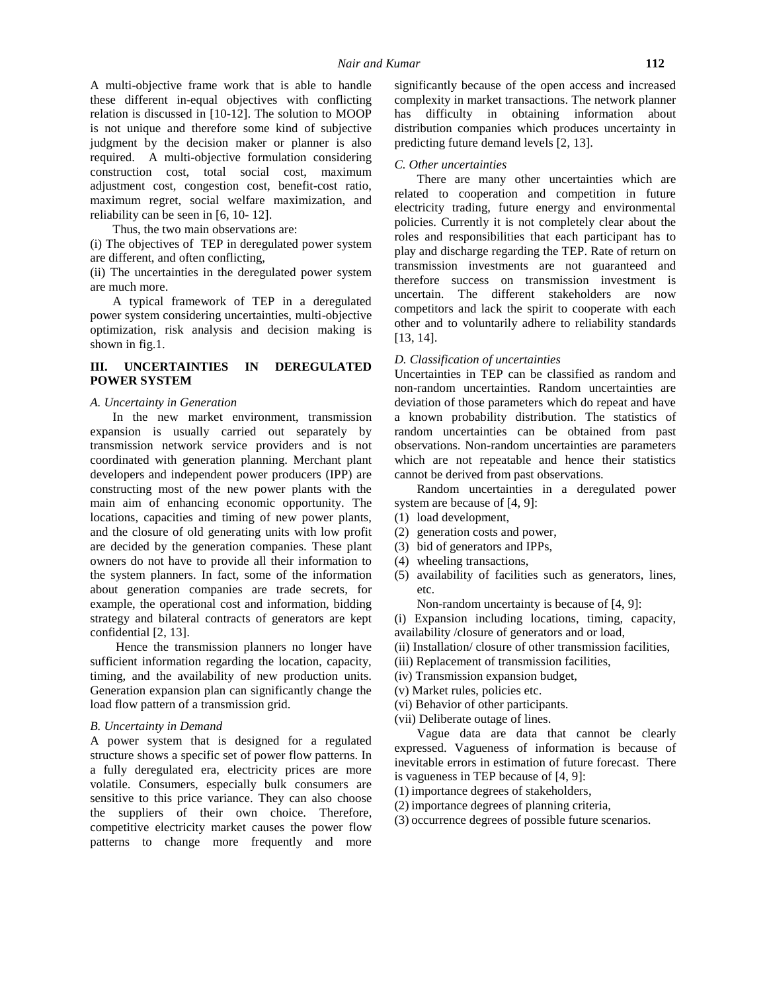A multi-objective frame work that is able to handle these different in-equal objectives with conflicting relation is discussed in [10-12]. The solution to MOOP is not unique and therefore some kind of subjective judgment by the decision maker or planner is also required. A multi-objective formulation considering construction cost, total social cost, maximum adjustment cost, congestion cost, benefit-cost ratio, maximum regret, social welfare maximization, and reliability can be seen in [6, 10- 12].

Thus, the two main observations are:

(i) The objectives of TEP in deregulated power system are different, and often conflicting,

(ii) The uncertainties in the deregulated power system are much more.

A typical framework of TEP in a deregulated power system considering uncertainties, multi-objective optimization, risk analysis and decision making is shown in fig.1.

# **III. UNCERTAINTIES IN DEREGULATED POWER SYSTEM**

#### *A. Uncertainty in Generation*

In the new market environment, transmission expansion is usually carried out separately by transmission network service providers and is not coordinated with generation planning. Merchant plant developers and independent power producers (IPP) are constructing most of the new power plants with the main aim of enhancing economic opportunity. The locations, capacities and timing of new power plants, and the closure of old generating units with low profit are decided by the generation companies. These plant owners do not have to provide all their information to the system planners. In fact, some of the information about generation companies are trade secrets, for example, the operational cost and information, bidding strategy and bilateral contracts of generators are kept confidential [2, 13].

Hence the transmission planners no longer have sufficient information regarding the location, capacity, timing, and the availability of new production units. Generation expansion plan can significantly change the load flow pattern of a transmission grid.

#### *B. Uncertainty in Demand*

A power system that is designed for a regulated structure shows a specific set of power flow patterns. In a fully deregulated era, electricity prices are more volatile. Consumers, especially bulk consumers are sensitive to this price variance. They can also choose the suppliers of their own choice. Therefore, competitive electricity market causes the power flow patterns to change more frequently and more significantly because of the open access and increased complexity in market transactions. The network planner has difficulty in obtaining information about distribution companies which produces uncertainty in predicting future demand levels [2, 13].

#### *C. Other uncertainties*

There are many other uncertainties which are related to cooperation and competition in future electricity trading, future energy and environmental policies. Currently it is not completely clear about the roles and responsibilities that each participant has to play and discharge regarding the TEP. Rate of return on transmission investments are not guaranteed and therefore success on transmission investment is uncertain. The different stakeholders are now competitors and lack the spirit to cooperate with each other and to voluntarily adhere to reliability standards [13, 14].

## *D. Classification of uncertainties*

Uncertainties in TEP can be classified as random and non-random uncertainties. Random uncertainties are deviation of those parameters which do repeat and have a known probability distribution. The statistics of random uncertainties can be obtained from past observations. Non-random uncertainties are parameters which are not repeatable and hence their statistics cannot be derived from past observations.

Random uncertainties in a deregulated power system are because of [4, 9]:

- (1) load development,
- (2) generation costs and power,
- (3) bid of generators and IPPs,
- (4) wheeling transactions,
- (5) availability of facilities such as generators, lines, etc.

Non-random uncertainty is because of [4, 9]:

- (i) Expansion including locations, timing, capacity,
- availability /closure of generators and or load,
- (ii) Installation/ closure of other transmission facilities,
- (iii) Replacement of transmission facilities,
- (iv) Transmission expansion budget,
- (v) Market rules, policies etc.
- (vi) Behavior of other participants.
- (vii) Deliberate outage of lines.

Vague data are data that cannot be clearly expressed. Vagueness of information is because of inevitable errors in estimation of future forecast. There is vagueness in TEP because of [4, 9]:

- (1) importance degrees of stakeholders,
- (2) importance degrees of planning criteria,
- (3) occurrence degrees of possible future scenarios.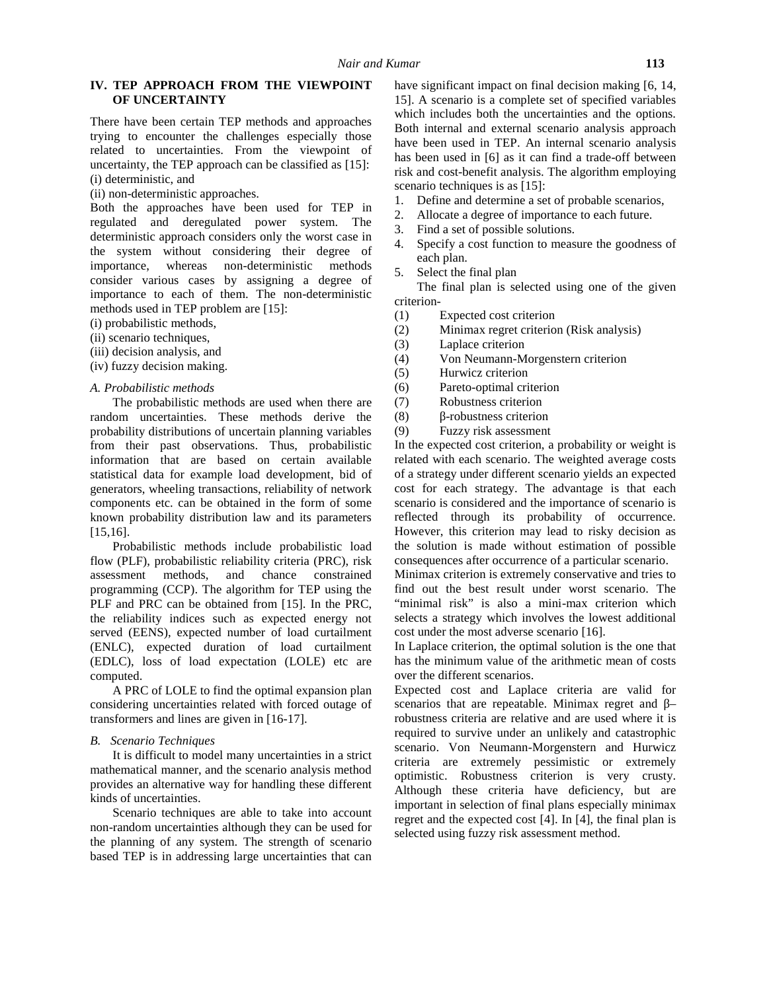## **IV. TEP APPROACH FROM THE VIEWPOINT OF UNCERTAINTY**

There have been certain TEP methods and approaches trying to encounter the challenges especially those related to uncertainties. From the viewpoint of uncertainty, the TEP approach can be classified as [15]: (i) deterministic, and

(ii) non-deterministic approaches.

Both the approaches have been used for TEP in  $\frac{1}{2}$ . regulated and deregulated power system. The deterministic approach considers only the worst case in the system without considering their degree of importance, whereas non-deterministic methods consider various cases by assigning a degree of importance to each of them. The non-deterministic methods used in TEP problem are [15]:

- (i) probabilistic methods,
- (ii) scenario techniques,
- (iii) decision analysis, and
- (iv) fuzzy decision making.
- *A. Probabilistic methods*

The probabilistic methods are used when there are (7) random uncertainties. These methods derive the (8) probability distributions of uncertain planning variables (9) from their past observations. Thus, probabilistic information that are based on certain available statistical data for example load development, bid of generators, wheeling transactions, reliability of network components etc. can be obtained in the form of some known probability distribution law and its parameters [15,16].

Probabilistic methods include probabilistic load flow (PLF), probabilistic reliability criteria (PRC), risk assessment methods, and chance constrained programming (CCP). The algorithm for TEP using the PLF and PRC can be obtained from [15]. In the PRC, the reliability indices such as expected energy not served (EENS), expected number of load curtailment (ENLC), expected duration of load curtailment (EDLC), loss of load expectation (LOLE) etc are computed.

A PRC of LOLE to find the optimal expansion plan considering uncertainties related with forced outage of transformers and lines are given in [16-17].

#### *B. Scenario Techniques*

It is difficult to model many uncertainties in a strict mathematical manner, and the scenario analysis method provides an alternative way for handling these different kinds of uncertainties.

Scenario techniques are able to take into account non-random uncertainties although they can be used for the planning of any system. The strength of scenario based TEP is in addressing large uncertainties that can

have significant impact on final decision making [6, 14,] 15]. A scenario is a complete set of specified variables which includes both the uncertainties and the options. Both internal and external scenario analysis approach have been used in TEP. An internal scenario analysis has been used in [6] as it can find a trade-off between risk and cost-benefit analysis. The algorithm employing scenario techniques is as [15]:

- 1. Define and determine a set of probable scenarios,
- 2. Allocate a degree of importance to each future.
- 3. Find a set of possible solutions.
- 4. Specify a cost function to measure the goodness of each plan.
- 5. Select the final plan

The final plan is selected using one of the given criterion-

- (1) Expected cost criterion
- (2) Minimax regret criterion (Risk analysis)
- (3) Laplace criterion
- (4) Von Neumann-Morgenstern criterion
- (5) Hurwicz criterion
- (6) Pareto-optimal criterion
- Robustness criterion
- -robustness criterion
- Fuzzy risk assessment

In the expected cost criterion, a probability or weight is related with each scenario. The weighted average costs of a strategy under different scenario yields an expected cost for each strategy. The advantage is that each scenario is considered and the importance of scenario is reflected through its probability of occurrence. However, this criterion may lead to risky decision as the solution is made without estimation of possible consequences after occurrence of a particular scenario.

Minimax criterion is extremely conservative and tries to find out the best result under worst scenario. The "minimal risk" is also a mini-max criterion which selects a strategy which involves the lowest additional cost under the most adverse scenario [16].

In Laplace criterion, the optimal solution is the one that has the minimum value of the arithmetic mean of costs over the different scenarios.

Expected cost and Laplace criteria are valid for scenarios that are repeatable. Minimax regret and – robustness criteria are relative and are used where it is required to survive under an unlikely and catastrophic scenario. Von Neumann-Morgenstern and Hurwicz criteria are extremely pessimistic or extremely optimistic. Robustness criterion is very crusty. Although these criteria have deficiency, but are important in selection of final plans especially minimax regret and the expected cost [4]. In [4], the final plan is selected using fuzzy risk assessment method.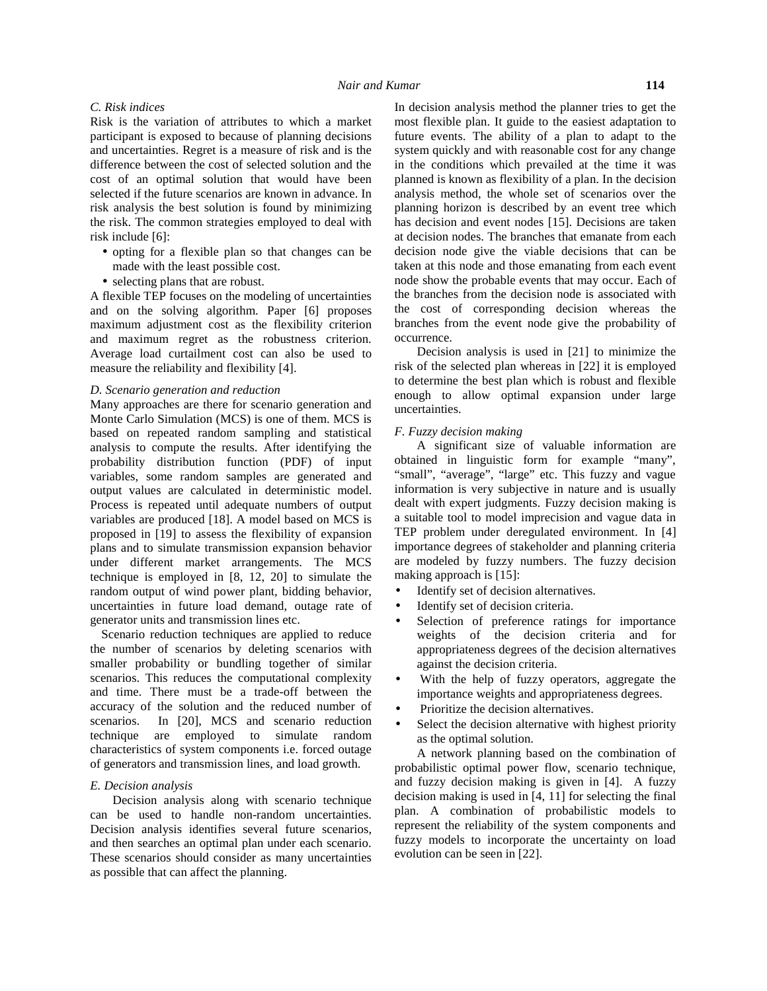# *C. Risk indices*

Risk is the variation of attributes to which a market participant is exposed to because of planning decisions and uncertainties. Regret is a measure of risk and is the difference between the cost of selected solution and the cost of an optimal solution that would have been selected if the future scenarios are known in advance. In risk analysis the best solution is found by minimizing the risk. The common strategies employed to deal with risk include [6]:

- opting for a flexible plan so that changes can be made with the least possible cost.
- selecting plans that are robust.

A flexible TEP focuses on the modeling of uncertainties and on the solving algorithm. Paper [6] proposes maximum adjustment cost as the flexibility criterion and maximum regret as the robustness criterion. Average load curtailment cost can also be used to measure the reliability and flexibility [4].

## *D. Scenario generation and reduction*

Many approaches are there for scenario generation and Monte Carlo Simulation (MCS) is one of them. MCS is based on repeated random sampling and statistical analysis to compute the results. After identifying the probability distribution function (PDF) of input variables, some random samples are generated and output values are calculated in deterministic model. Process is repeated until adequate numbers of output variables are produced [18]. A model based on MCS is proposed in [19] to assess the flexibility of expansion plans and to simulate transmission expansion behavior under different market arrangements. The MCS technique is employed in [8, 12, 20] to simulate the random output of wind power plant, bidding behavior, uncertainties in future load demand, outage rate of generator units and transmission lines etc.

Scenario reduction techniques are applied to reduce the number of scenarios by deleting scenarios with smaller probability or bundling together of similar scenarios. This reduces the computational complexity and time. There must be a trade-off between the accuracy of the solution and the reduced number of scenarios. In [20], MCS and scenario reduction technique are employed to simulate random characteristics of system components i.e. forced outage of generators and transmission lines, and load growth.

#### *E. Decision analysis*

Decision analysis along with scenario technique can be used to handle non-random uncertainties. Decision analysis identifies several future scenarios, and then searches an optimal plan under each scenario. These scenarios should consider as many uncertainties as possible that can affect the planning.

In decision analysis method the planner tries to get the most flexible plan. It guide to the easiest adaptation to future events. The ability of a plan to adapt to the system quickly and with reasonable cost for any change in the conditions which prevailed at the time it was planned is known as flexibility of a plan. In the decision analysis method, the whole set of scenarios over the planning horizon is described by an event tree which has decision and event nodes [15]. Decisions are taken at decision nodes. The branches that emanate from each decision node give the viable decisions that can be taken at this node and those emanating from each event node show the probable events that may occur. Each of the branches from the decision node is associated with the cost of corresponding decision whereas the branches from the event node give the probability of occurrence.

Decision analysis is used in [21] to minimize the risk of the selected plan whereas in [22] it is employed to determine the best plan which is robust and flexible enough to allow optimal expansion under large uncertainties.

#### *F. Fuzzy decision making*

A significant size of valuable information are obtained in linguistic form for example "many", "small", "average", "large" etc. This fuzzy and vague information is very subjective in nature and is usually dealt with expert judgments. Fuzzy decision making is a suitable tool to model imprecision and vague data in TEP problem under deregulated environment. In [4] importance degrees of stakeholder and planning criteria are modeled by fuzzy numbers. The fuzzy decision making approach is [15]:

- Identify set of decision alternatives.
- Identify set of decision criteria.
- Selection of preference ratings for importance weights of the decision criteria and for appropriateness degrees of the decision alternatives against the decision criteria.
- With the help of fuzzy operators, aggregate the importance weights and appropriateness degrees.
- Prioritize the decision alternatives.
- Select the decision alternative with highest priority as the optimal solution.

A network planning based on the combination of probabilistic optimal power flow, scenario technique, and fuzzy decision making is given in [4]. A fuzzy decision making is used in [4, 11] for selecting the final plan. A combination of probabilistic models to represent the reliability of the system components and fuzzy models to incorporate the uncertainty on load evolution can be seen in [22].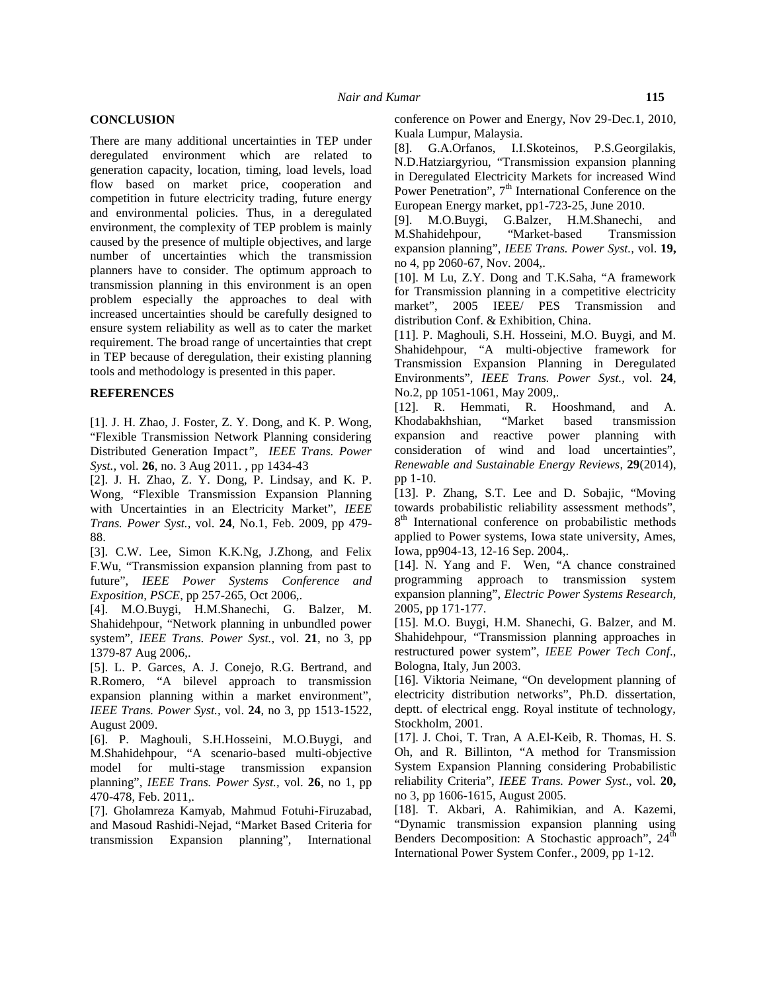### **CONCLUSION**

There are many additional uncertainties in TEP under deregulated environment which are related to generation capacity, location, timing, load levels, load flow based on market price, cooperation and competition in future electricity trading, future energy and environmental policies. Thus, in a deregulated  $\frac{E_{\text{HIO}}}{[9]}$ environment, the complexity of TEP problem is mainly caused by the presence of multiple objectives, and large number of uncertainties which the transmission planners have to consider. The optimum approach to transmission planning in this environment is an open problem especially the approaches to deal with market", increased uncertainties should be carefully designed to ensure system reliability as well as to cater the market requirement. The broad range of uncertainties that crept in TEP because of deregulation, their existing planning tools and methodology is presented in this paper.

# **REFERENCES**

[1]. J. H. Zhao, J. Foster, Z. Y. Dong, and K. P. Wong, "Flexible Transmission Network Planning considering Distributed Generation Impact*", IEEE Trans. Power Syst.,* vol. **26**, no. 3 Aug 2011. , pp 1434-43

[2]. J. H. Zhao, Z. Y. Dong, P. Lindsay, and K. P. Wong, "Flexible Transmission Expansion Planning with Uncertainties in an Electricity Market", *IEEE Trans. Power Syst.,* vol. **24**, No.1, Feb. 2009, pp 479- 88.

[3]. C.W. Lee, Simon K.K.Ng, J.Zhong, and Felix F.Wu, "Transmission expansion planning from past to future", *IEEE Power Systems Conference and Exposition, PSCE*, pp 257-265, Oct 2006,.

[4]. M.O.Buygi, H.M.Shanechi, G. Balzer, M. Shahidehpour, "Network planning in unbundled power system", *IEEE Trans. Power Syst.,* vol. **21**, no 3, pp 1379-87 Aug 2006,.

[5]. L. P. Garces, A. J. Conejo, R.G. Bertrand, and R.Romero, "A bilevel approach to transmission expansion planning within a market environment", *IEEE Trans. Power Syst.,* vol. **24**, no 3, pp 1513-1522, August 2009.

[6]. P. Maghouli, S.H.Hosseini, M.O.Buygi, and M.Shahidehpour, "A scenario-based multi-objective model for multi-stage transmission expansion planning", *IEEE Trans. Power Syst.,* vol. **26**, no 1, pp 470-478, Feb. 2011,.

[7]. Gholamreza Kamyab, Mahmud Fotuhi-Firuzabad, and Masoud Rashidi-Nejad, "Market Based Criteria for transmission Expansion planning", International conference on Power and Energy, Nov 29-Dec.1, 2010, Kuala Lumpur, Malaysia.

[8]. G.A.Orfanos, I.I.Skoteinos, P.S.Georgilakis, N.D.Hatziargyriou, "Transmission expansion planning in Deregulated Electricity Markets for increased Wind Power Penetration",  $7<sup>th</sup>$  International Conference on the European Energy market, pp1-723-25, June 2010.

[9]. M.O.Buygi, G.Balzer, H.M.Shanechi, and M.Shahidehpour, "Market-based Transmission expansion planning", *IEEE Trans. Power Syst.,* vol. **19,** no 4, pp 2060-67, Nov. 2004,.

[10]. M Lu, Z.Y. Dong and T.K.Saha, "A framework for Transmission planning in a competitive electricity 2005 IEEE/ PES Transmission and distribution Conf. & Exhibition, China.

[11]. P. Maghouli, S.H. Hosseini, M.O. Buygi, and M. Shahidehpour, "A multi-objective framework for Transmission Expansion Planning in Deregulated Environments", *IEEE Trans. Power Syst.,* vol. **24**, No.2, pp 1051-1061, May 2009,.

[12]. R. Hemmati, R. Hooshmand, and A. Khodabakhshian, "Market based transmission expansion and reactive power planning with consideration of wind and load uncertainties", *Renewable and Sustainable Energy Reviews*, **29**(2014), pp 1-10.

[13]. P. Zhang, S.T. Lee and D. Sobajic, "Moving towards probabilistic reliability assessment methods", 8<sup>th</sup> International conference on probabilistic methods applied to Power systems, Iowa state university, Ames, Iowa, pp904-13, 12-16 Sep. 2004,.

[14]. N. Yang and F. Wen, "A chance constrained programming approach to transmission system expansion planning", *Electric Power Systems Research*, 2005, pp 171-177.

[15]. M.O. Buygi, H.M. Shanechi, G. Balzer, and M. Shahidehpour, "Transmission planning approaches in restructured power system", *IEEE Power Tech Conf*., Bologna, Italy, Jun 2003.

[16]. Viktoria Neimane, "On development planning of electricity distribution networks", Ph.D. dissertation, deptt. of electrical engg. Royal institute of technology, Stockholm, 2001.

[17]. J. Choi, T. Tran, A A.El-Keib, R. Thomas, H. S. Oh, and R. Billinton, "A method for Transmission System Expansion Planning considering Probabilistic reliability Criteria", *IEEE Trans. Power Syst*., vol. **20,** no 3, pp 1606-1615, August 2005.

[18]. T. Akbari, A. Rahimikian, and A. Kazemi, "Dynamic transmission expansion planning using Benders Decomposition: A Stochastic approach", 24<sup>th</sup> International Power System Confer., 2009, pp 1-12.